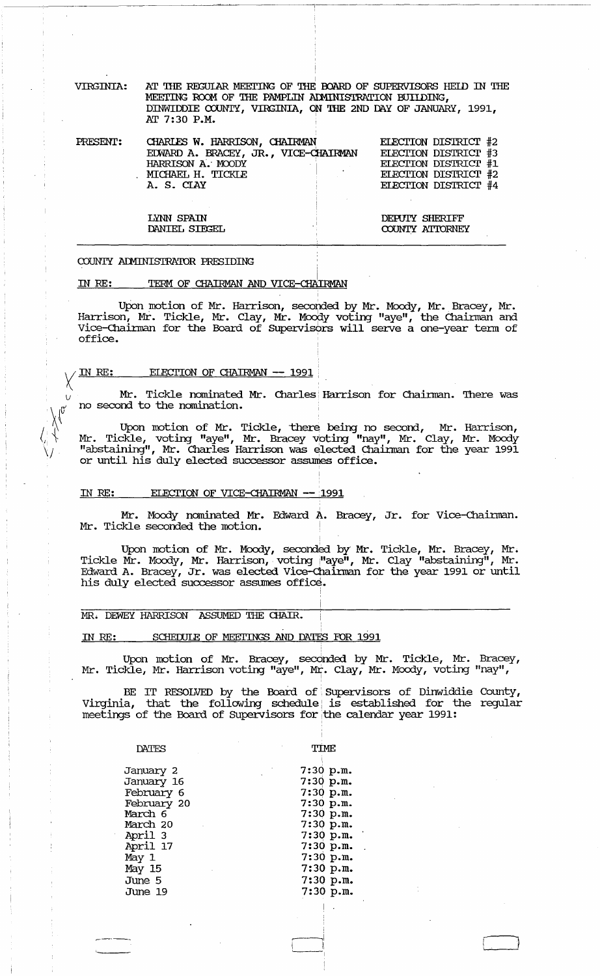VIRGINIA: AT THE REGULAR MEETING OF THE BOARD OF SUPERVISORS HEID IN THE MEETING ROOM OF THE PAMPLIN ADMINISTRATION BUILDING, DINWIDDIE COUNTY, VIRGINIA, ON THE 2ND DAY OF JANUARY, 1991, AT 7:30 P.M.

| PRESENT: | CHARLES W. HARRISON, CHAIRMAN        | <b>ELECTION DISTRICT #2</b> |
|----------|--------------------------------------|-----------------------------|
|          | EDWARD A. BRACEY, JR., VICE-CHAIRMAN | ELECTION DISTRICT #3        |
|          | HARRISON A. MOODY                    | <b>ELECTION DISTRICT #1</b> |
|          | MICHAEL H. TICKLE                    | ELECTION DISTRICT #2        |
|          | A. S. CIAY                           | ELECTION DISTRICT #4        |
|          |                                      |                             |
|          |                                      |                             |
|          | LYNN SPAIN                           | <b>DEPUIY SHERIFF</b>       |
|          | DANIEL SIEGEL                        | COUNTY ATTORNEY             |
|          |                                      |                             |

#### COUNTY ADMINISTRATOR PRESIDING

#### TERM OF CHAIRMAN AND VICE-CHAIRMAN IN RE:

Upon motion of Mr. Harrison, seconded by Mr. Moody, Mr. Bracey, Mr.<br>Harrison, Mr. Tickle, Mr. Clay, Mr. Moody voting "aye", the Chairman and Vice-Chairman for the Board of Supervisors will serve a one-year term of office.

#### ELECTION OF CHAIRMAN -- 1991 IN RE:

Mr. Tickle nominated Mr. Charles Harrison for Chairman. There was no second to the nomination.

Upon motion of Mr. Tickle, there being no second, Mr. Harrison,<br>Mr. Tickle, voting "aye", Mr. Bracey voting "nay", Mr. Clay, Mr. Moody<br>"abstaining", Mr. Charles Harrison was elected Chairman for the year 1991 or until his duly elected successor assumes office.

#### IN RE: ELECTION OF VICE-CHAIRMAN -- 1991

Mr. Moody nominated Mr. Edward A. Bracey, Jr. for Vice-Chairman. Mr. Tickle seconded the motion.

Upon motion of Mr. Moody, seconded by Mr. Tickle, Mr. Bracey, Mr.<br>Tickle Mr. Moody, Mr. Harrison, voting "aye", Mr. Clay "abstaining", Mr. Edward A. Bracey, Jr. was elected Vice-Chairman for the year 1991 or until his duly elected successor assumes office.

# MR. DEWEY HARRISON ASSUMED THE CHAIR.

#### SCHEDULE OF MEETINGS AND DATES FOR 1991 IN RE:

Upon motion of Mr. Bracey, seconded by Mr. Tickle, Mr. Bracey, Mr. Tickle, Mr. Harrison voting "aye", Mr. Clay, Mr. Moody, voting "nay",

BE IT RESOLVED by the Board of Supervisors of Dinwiddie County, Virginia, that the following schedule is established for the regular meetings of the Board of Supervisors for the calendar year 1991:

| DATTS                                                                                                                                      | TTMF.                                                                                                                                                        |
|--------------------------------------------------------------------------------------------------------------------------------------------|--------------------------------------------------------------------------------------------------------------------------------------------------------------|
| January 2<br>January 16<br>February 6<br>February 20<br>March 6<br>March 20<br>April 3<br>April 17<br>May 1<br>May 15<br>June 5<br>June 19 | 7:30 p.m.<br>$7:30$ p.m.<br>7:30 p.m.<br>7:30 p.m.<br>7:30 p.m.<br>7:30 p.m.<br>7:30 p.m.<br>7:30 p.m.<br>7:30 p.m.<br>$7:30$ p.m.<br>7:30 p.m.<br>7:30 p.m. |
|                                                                                                                                            |                                                                                                                                                              |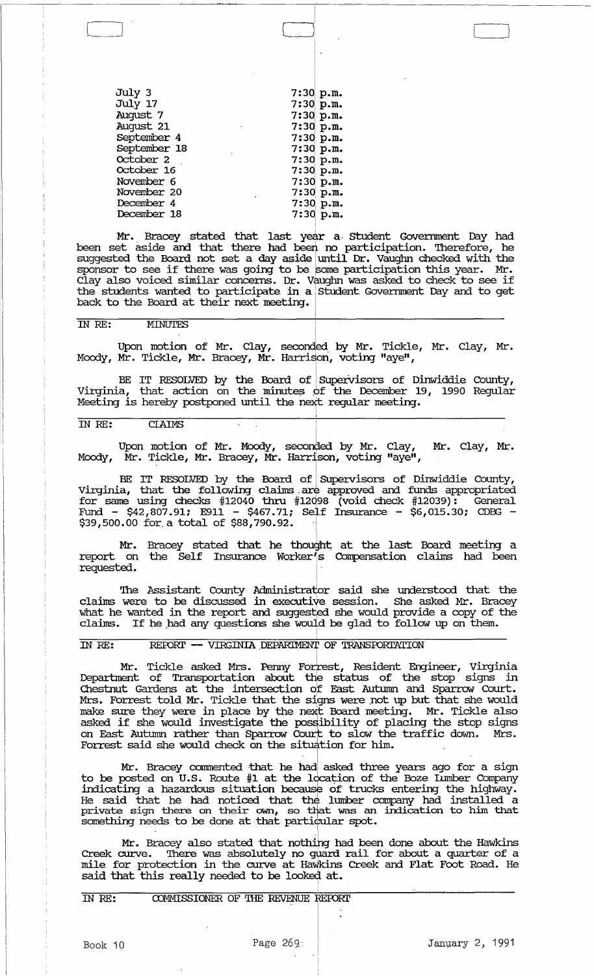| July 3                               | 7:30 p.m.   |
|--------------------------------------|-------------|
| July 17                              | $7:30$ p.m. |
| August 7                             | 7:30 p.m.   |
| August 21<br>$\sim 100$ km s $^{-1}$ | $7:30$ p.m. |
| September 4                          | $7:30$ p.m. |
| September 18                         | $7:30$ p.m. |
| October 2                            | 7:30 p.m.   |
| October 16                           | $7:30$ p.m. |
| November 6                           | 7:30 p.m.   |
| November 20                          | 7:30 p.m.   |
| December 4                           | 7:30 p.m.   |
| December 18                          | $7:30$ p.m. |
|                                      |             |

Mr. Bracey stated that last year a Student Government Day had been set aside and that there had been no participation. Therefore, he suggested the Board not set a day aside until Dr. Vaughn checked with the suggested the board not set a day asked until bit, valight diecked with the Sports of the see in the reason was some participation this year. In:<br>Clay also voiced similar concerns. Dr. Vaughn was asked to check to see if the students wanted to participate in a Student Government Day and to get back to the Board at their next meeting. Mr. Bracey stated that last year a Student Government Day had<br>et aside and that there had been no participation. Therefore, he<br>ed the Board not set a day aside until Dr. Vaughn checked with the<br>to see if there was going to

 $\Box$ 

I , LJ

## IN RE: MINUTES

Moody, Mr. Tickle, Mr. Bracey, Mr. Harrison, voting "aye",

1 I I

 $\overline{\cdot}$ 

BE IT RESOLVED by the Board of Supervisors of Dinwiddie County, Virginia, that action on the minutes of the December 19, 1990 Regular Meeting is hereby postponed until the next regular meeting.

# IN RE: CIAIMS

Upon motion of Mr. Moody, seconded by Mr. Clay, Mr. Clay, Mr. Moody, Mr. Tickle, Mr. Bracey, Mr. Harrison, voting "aye",

BE IT RESOLVED by the Board of Supervisors of Dinwiddie County, Virginia, that the following claims. are approved and funds appropriated for same using checks  $#12040$  thru  $#12098$  (void check  $#12039$ ): General Fund - \$42,807.91; E911 - \$467.71; Self Insurance - \$6,015.30; CDBG -<br>\$39,500.00 for a total of \$88,790.92. <sup>|</sup>

Mr. report on requested. Bracey stated that he thought at the last Board meeting a the Self Insurance Worker<sup>7</sup>s Compensation claims had been I·

The Assistant County Administrator said she understood that the claims were to be discussed in executive session. She asked Mr. Bracey what he wanted in the report and suggested she would provide a copy of the claims. If he had any questions she would be glad to follow up on them.

# IN RE: REPORT -- VIRGINIA DEPARIMENT OF TRANSPORTATION

What he wanted in the report and suggested she would provide a copy of the claims. If he had any questions she would be glad to follow up on them.<br>IN RE: REPORT -- VIRGINIA DEPARTMENT OF TRANSPORTATION<br>Mr. Tickle asked Mrs Chestnut Gardens at the intersection of East Autumn and Sparrow Court. Mrs. Forrest told Mr. Tickle that the signs were not up but that she would make sure they were in place by the next Board meeting. Mr. Tickle also asked if she would investigate the possibility of placing the stop signs on East Autumn rather than Sparrow Court to slow the traffic down. Mrs. but in the would investigate the would be stop signs in the world in the report and suggested she would provide a copy of the claims. If he had any questions she would be glad to follow up on them.<br>IN RE: REPORT -- VIRGINI Forrest said she would check on the situation for him.

Mr. Bracey commented that he had asked three years ago for a sign to be posted on U.S. Route #1 at the location of the Boze Lumber Company indicating a hazardous situation because of trucks entering the highway. He said that he had noticed that the lumber company had installed a private sign there on their own, so that was an indication to him that something needs to be done at that particular spot.

Mr. Bracey also stated that nothing had been done about the Hawkins Creek curve. There was absolutely no guard rail for about a quarter of a mile for protection in the curve at Hawkins Creek and Flat Foot Road. He said that this really needed to be looked at.

. In the same state

I I

. I

IN RE: COMMISSIONER OF THE REVENUE REPORT

Book 10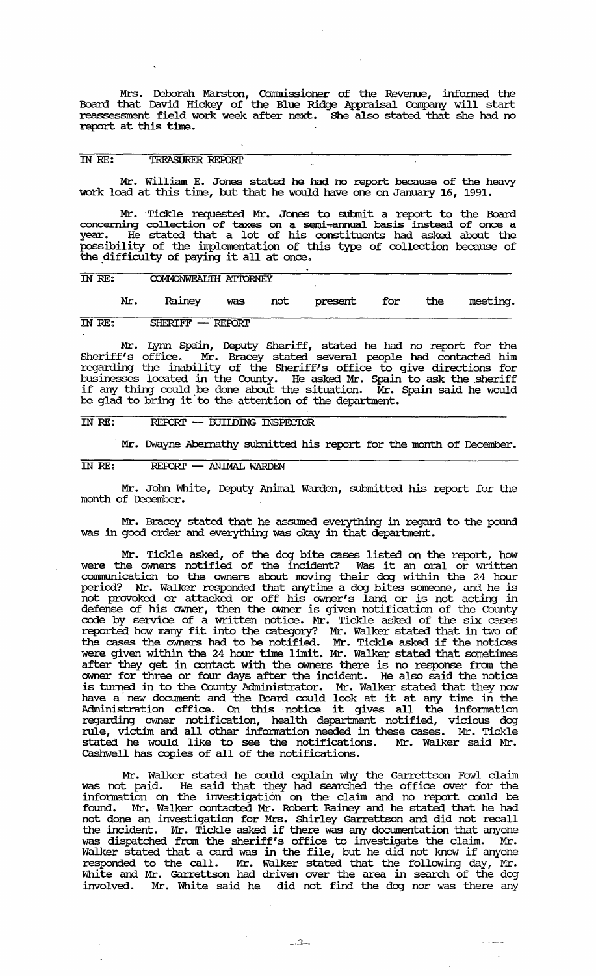Mrs. Deborah. Marston, COmmissioner of the Revenue, informed the Board that David Hickey of the Blue Ridge Appraisal Company will start reassessment field work week after next. She also stated that she had no report at this time.

# IN RE: TREASURER REPORT

Mr. William E. Jones stated he had no report because of the heavy work load at this time, but that he would have one on January 16, 1991.

Mr. Tickle requested Mr. Jones to submit a report to the Board concerning collection of taxes on a semi-annual basis instead of once a year. He stated that a lot of his constituents had asked about the possibility of the inplementation of this type of collection because of the difficulty of paying it all at once.

## IN RE: **COMMONWEALIH ATTORNEY**

Mr. Rainey was not present for the meeting.

**IN RE:** SHERIFF -- REPORT

Mr. Lynn Spain, Deputy Sheriff, stated he had no report for the Sheriff's office. Mr. Bracey stated several people had contacted him regarding the inability of the Sheriff-'s office to give directions for businesses located in the County. He asked Mr. Spain to ask the sheriff businesses focated in the county. He asked in spain to ask the sheriff any thing could be done about the situation. Mr. Spain said he would be glad to bring it' to the attention of the department.

### IN RE: REPORT -- BUIIDING INSPECTOR

Mr. Dwayne Abernathy submitted his report for the month of December.

IN RE: REPORT -- ANIMAL WARDEN

Mr. John White, Deputy Animal Warden, submitted his report for the month of December.

Mr. Bracey stated that he assmned everything in regard to the pound was in good order and everything was okay in that department.

Mr. Tickle asked, of the dog bite cases listed on the report, how were the owners notified of the incident? Was it an oral or written connnunication to the owners about moving their dog within the 24 hour period? Mr. Walker responded that anytime a dog bites someone, and he is not provoked or attacked or off his owner's land or is not acting in defense of his owner, then the owner is given notification of the County code by service of a written notice. Mr. Tickle asked of the six cases reported how many fit into the category? Mr. Walker stated that in two of the cases the owners had to be notified. Mr. Tickle asked if the notices were given within the 24 hour time limit. Mr. Walker stated that sometimes after they get in contact with the owners there is no response from the owner for three or four days after the incident. He also said the notice is turned in to the County Administrator. Mr. Walker stated that they now have a new document and the Board could look at it at any time in the Administration office. On this notice it gives all the infonnation regarding owner notification, health department notified, vicious dog rule, victim and all other infonnation needed in these cases. Mr. Tickle stated he would like to see the notifications. Mr. Walker said Mr. Cashwell has copies of all of the notifications.

Mr. Walker stated he could explain why the Garrettson Fowl claim was not paid. He said that they had searched the office over for the infonnation on the investigation on the· clam and no report could be found. Mr. Walker contacted Mr. Robert Rainey and he stated that he had not done an investigation for Mrs. Shirley Garrettson and did not recall the incident. Mr. Tickle asked if there was any documentation that anyone was dispatched from the sheriff's office to investigate the claim. Mr. was disparated from the sheriff s office to investigate the claim. Fir.<br>Walker stated that a card was in the file, but he did not know if anyone responded to the call. Mr. Walker stated that the following day, Mr. White and Mr. Garrettson had driven over the area in search of the dog involved. Mr. White said he did not find the dog nor was there any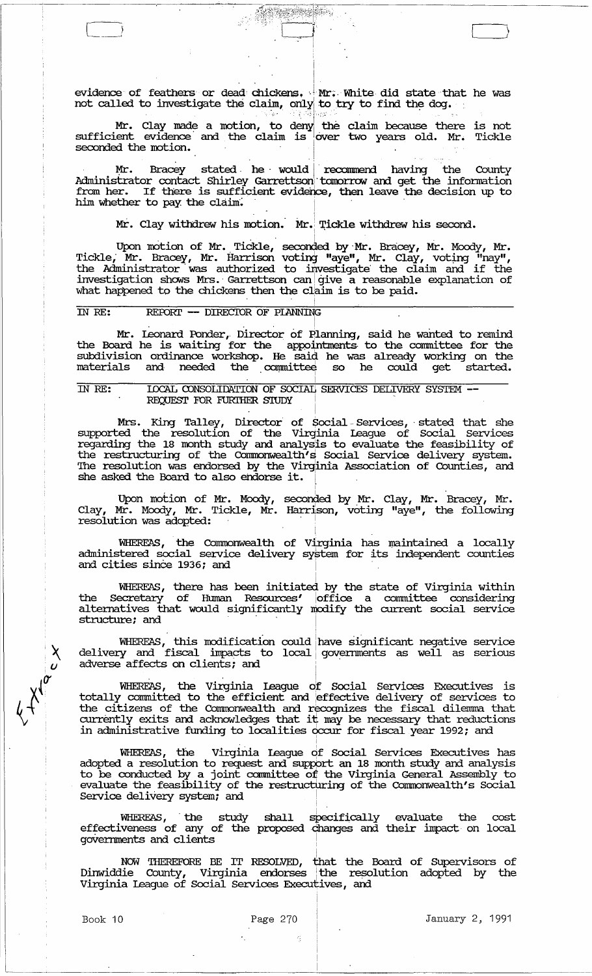evidence of feathers or dead chickens. Mr; White did state that he was not called to investigate the claim, only to try to find the dog.

I

Mr. Clay made a motion, to deny the claim because there is not sufficient evidence and the claim is over two years old. Mr. Tickle seconded the motion.

Mr. Bracey stated he would recommend having the County Administrator contact Shirley Garrettson tomorrow and get the information from her. If there is sufficient evidence, then leave the decision up to him whether to pay the claim.

Mr. Clay withdrew his motion.  $\texttt{Mr.}$  Tickle withdrew his second.

Upon motion of Mr. Tickle, seconded by Mr. Bracey, Mr. Moody, Mr. Tickle, Mr. Bracey, Mr. Harrison voting "aye", Mr. Clay, voting "nay",<br>the Administrator was authorized to investigate the claim and if the investigation shows Mrs. Garrettson can give a reasonable explanation of what happened to the chickens then the claim is to be paid. ministrator was authorized to investigate the claim and if the gation shows Mrs. Garrettson can give a reasonable explanation of ppened to the chickens then the claim is to be paid.<br>REPORT - DIRECTOR OF PIANNING<br>Mr. Leonar

# IN RE: REPORT -- DIRECTOR OF PLANNING

the Board he is waiting for the appointments to the committee for the subdivision ordinance workshop. He said he was already working on the materials and needed the committee so he could get started.

# IN RE: LOCAL CONSOLIDATION OF SOCIAL SERVICES DELIVERY SYSTEM --REQUEST FOR FURIHER STUDY

Mrs. King Talley, Director of Social Services, stated that she supported the resolution of the Virginia League of Social services regarding the 18 month study and analysis to evaluate the feasibility of the restructuring of the Commonwealth's Social Service delivery system. The resolution was endorsed by the Virginia Association of Counties, and she asked the Board to also endorse it.

Upon motion of Mr. Moody, seconded by Mr. Clay, Mr. Bracey, Mr. Clay, Mr. Moody, Mr. Tickle, Mr. Harrison, voting "aye", the following resolution was adopted: she asked the Board to also endorse it.<br>Upon motion of Mr. Moody, seconded by Mr. Clay,<br>Clay, Mr. Moody, Mr. Tickle, Mr. Harrison, voting "aye<br>resolution was adopted:<br>WHEREAS, the Commonwealth of Virginia has maint<br>adminis

WHEREAS, the Commonwealth of Virginia has maintained a locally administered social service delivery system for its independent counties

I

1

WHEREAS, there has been initiated by the state of Virginia within the Secretary of Human Resources' office a committee considering alternatives that would significantly modify the current social service WHEREAS, the Commonwealth of Virginia<br>administered social service delivery system fo<br>and cities since 1936; and<br>WHEREAS, there has been initiated by the<br>the Secretary of Human Resources' office<br>alternatives that would sign

WHEREAS, this modification could have significant negative service delivery and fiscal impacts to local governments as well as serious adverse affects on clients; and 1

WHEREAS, the Virginia League of Social Services Executives is totally committed to the efficient and effective delivery of services to the citizens of the Commonwealth and recognizes the fiscal dilemma that currently exits and acknowledges that it may be necessary that reductions in administrative funding to localities Occur for fiscal year 1992; and 1

WHEREAS, the Virginia League df Social Services Executives has adopted a resolution to request and support an 18 month study and analysis to be conducted by a joint committee of the Virginia General Assembly to evaluate the feasibility of the restructuring of the Commonwealth's Social Service delivery system; and

I • • 1

WHEREAS, the study effectiveness of any of the goVernments and clients shall specifically evaluate the cost proposed changes and their impact on local I I

NOW THEREFORE BE IT RESOLVED, that the Board of Supervisors of Dinwiddie County, Virginia endorses the resolution adopted by the Virginia League of Social Services Executives, and

L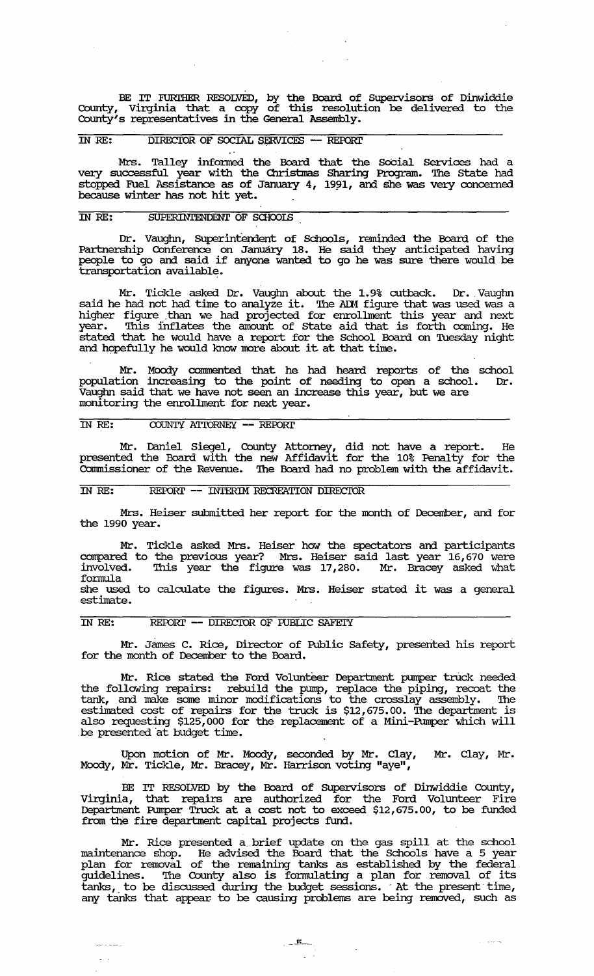BE IT FURIHER RESOLVED, by the Board of Supervisors of Dinwiddie County, Vilginia that a copy of this resolution be delivered to the County's representatives in the General Assembly.

## IN RE: DIRECIOR OF SOCIAL SERVICES - REPORT

Mrs. Talley infonned the Board that the SoCial Services had a very successful year with the Christmas Sharing Program. The State had stopped Fuel Assistance as of January  $4$ , 1991, and she was very concerned because winter has not hit yet.

# IN *RE:* SUPERINTENDENT OF SCHooIS

Dr. Vaughn, Superintendent of Schools, reminded the Board of the Partnership Conference on January 18. He said they anticipated having people to go and said if anyone wanted to go he was sure there would be transportation available.

Mr. Tickle asked Dr. Vaughn about the 1.9% cutback. Dr. Vaughn said he had not had time to analyze it. The ADM figure that was used was a higher figure .than we had projected for enrollment this year and next year. This inflates the amount of State aid that is forth coming. He stated that he would have a report for the School Board on Tuesday night and hopefully he would know more about it at that time.

Mr. Moody conunented that he had heard. reports of the school population increasing to the point of needing to open a school. Dr. Vaughn said that we have not seen an increase this year, but we are monitoring the enrollment for next year.

# IN RE: COUNTY ATTORNEY -- REPORT

Mr. Daniel Siegel, County Attorney, did not have a report. He presented the Board with the new Affidavit for the 10% Penalty for the Commissioner of the Revenue. The Board had no problem with the affidavit.

# IN RE: **REPORT -- INTERIM RECREATION DIRECTOR**

Mrs. Heiser submitted her report for the month of December, and for the 1990 year.

Mr. Tickle asked Mrs. Heiser how the spectators and participants corrpared to the previous year? Mrs. Heiser said last year 16,670 were involved. This year the figure was 17,280. Mr. Bracey asked what fonnula she used to calculate the figures. Mrs. Heiser stated it was a general estimate.

## IN RE: REPORT -- DIRECTOR OF FUBLIC SAFETY

بسددت

Mr. James C. Rice, Director of Public Safety, preserited his report for the month of Deceniber to the Board.

Mr. Rice stated the Ford Volunteer Department pumper truck needed the following repairs: rebuild the pump, replace the piping, recoat the tank, and make some minor modifications to the crosslay assembly. '!he estimated cost of repairs for the truck is \$12,675.00. The department is also requesting \$125,000 for the replacement of a Mini-Pumper which will be presented 'at budget time.

Upon motion of Mr. Moody, seconded by Mr. Clay, Mr. Clay, Mr. Moody, Mr. Tickle, Mr. Bracey, Mr. Harrison voting "aye",

BE IT RESOLVED by the Board of SUpervisors of Dinwiddie County, virginia, that repairs are authorized for the Ford Volunteer Fire Department Pumper Tnlck at a cost not to exceed \$12,675.00, to be funded from the fire department capital projects fund.

Mr. Rice presented a, brief update on the gas spill at the school maintenance shop. He advised the Board that the Schools have a 5 year plan for removal of the remaining tanks as established by the federal guidelines. '!he County also is fonnulating a plan for removal of its tanks, to be discussed during the budget sessions. At the present time, any tanks that appear to be causing problems are being removed, such as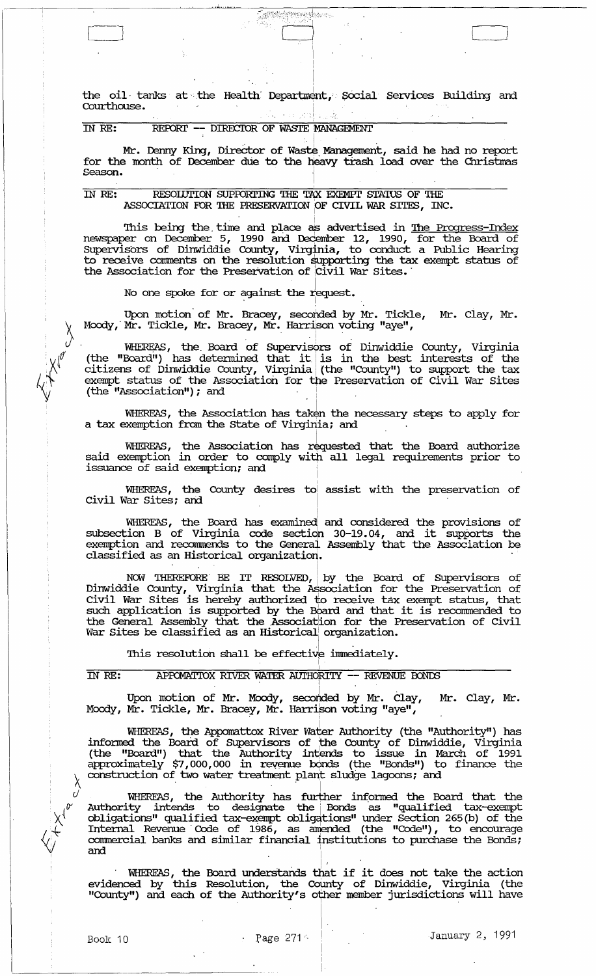the oil tanks at the Health Department, Social Services Building and Courthouse.  $\sim$  and  $\sim$ Ŵ

Carrier provinces.

#### REPORT -- DIRECTOR OF WASTE MANAGEMENT IN RE:

Mr. Denny King, Director of Waste Management, said he had no report for the month of December due to the heavy trash load over the Christmas Season.

#### IN RE: RESOLUTION SUPPORTING THE TAX EXEMPT STATUS OF THE ASSOCIATION FOR THE PRESERVATION OF CIVIL WAR SITES, INC.

This being the time and place as advertised in <u>The Progress-Index</u><br>newspaper on December 5, 1990 and December 12, 1990, for the Board of<br>Supervisors of Dinwiddie County, Virginia, to conduct a Public Hearing<br>to receive co

No one spoke for or against the request.

Upon motion of Mr. Bracey, seconded by Mr. Tickle, Mr. Clay, Mr. Moody, Mr. Tickle, Mr. Bracey, Mr. Harrison voting "aye",

WHEREAS, the Board of Supervisors of Dinwiddie County, Virginia<br>(the "Board") has determined that it is in the best interests of the<br>citizens of Dinwiddie County, Virginia (the "County") to support the tax<br>exempt status of

WHEREAS, the Association has taken the necessary steps to apply for a tax exemption from the State of Virginia; and

WHEREAS, the Association has requested that the Board authorize<br>said exemption in order to comply with all legal requirements prior to issuance of said exemption; and

WHEREAS, the County desires to assist with the preservation of Civil War Sites; and

WHEREAS, the Board has examined and considered the provisions of<br>subsection B of Virginia code section 30-19.04, and it supports the<br>exemption and recommends to the General Assembly that the Association be classified as an Historical organization.

NOW THEREFORE BE IT RESOLVED, by the Board of Supervisors of<br>Dinwiddie County, Virginia that the Association for the Preservation of<br>Civil War Sites is hereby authorized to receive tax exempt status, that such application is supported by the Board and that it is recommended to the General Assembly that the Association for the Preservation of Civil War Sites be classified as an Historical organization.

This resolution shall be effective immediately.

#### IN RE: APPOMATIOX RIVER WATER AUTHORITY -- REVENUE BONDS

Upon motion of Mr. Moody, seconded by Mr. Clay, Mr. Clay, Mr. Moody, Mr. Tickle, Mr. Bracey, Mr. Harrison voting "aye",

WHEREAS, the Appomattox River Water Authority (the "Authority") has<br>informed the Board of Supervisors of the County of Dinwiddie, Virginia<br>(the "Board") that the Authority intends to issue in March of 1991<br>approximately \$7

WHEREAS, the Authority has further informed the Board that the<br>Authority intends to designate the Bonds as "qualified tax-exempt<br>obligations" qualified tax-exempt obligations" under Section 265(b) of the<br>Internal Revenue C commercial banks and similar financial institutions to purchase the Bonds; and

WHEREAS, the Board understands that if it does not take the action<br>evidenced by this Resolution, the County of Dinwiddie, Virginia (the<br>"County") and each of the Authority's other member jurisdictions will have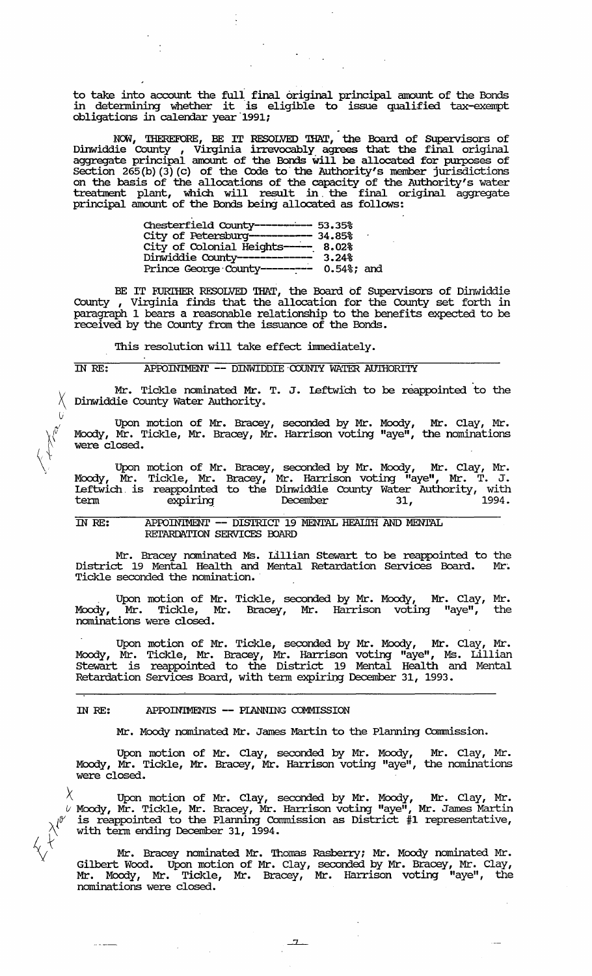to take into account the full final original principal amount of the Bonds in detennining whether it is eligible to issue qualified tax-exempt obligations in calendar year-1991;

 $\mathcal{F}(\mathcal{A})$  .

NOW, THEREFORE, BE IT RESOLVED THAT, the Board of Supervisors of Dinwiddie County , Virginia irrevocably agrees that the final original aggregate principal amount of the Bonds will be allocated for purposes of section 265 (b) (3) (c) of the Code to- the Authority's member jurisdictions on the basis of the allocations of the capacity of the Authority's water treatment plant, which will result in the final original aggregate principal amount of the Bonds being allocated as follows:

| Chesterfield County---------- 53.35%    |       |  |
|-----------------------------------------|-------|--|
| City of Petersburg----------- 34.85%    |       |  |
| City of Colonial Heights---- 8.02%      |       |  |
| Dinwiddie County-------------           | 3.24% |  |
| Prince George County-------- 0.54%; and |       |  |

BE IT FURTHER RESOLVED THAT, the Board of Supervisors of Dinwiddie County , Virginia finds that the allocation for the County set forth in paragraph 1 bears a reasonable relationship to the benefits expected to be received by the County from the issuance of the Bonds.

This resolution will take effect immediately.

(j

 $\mathbb{A}^*$  $\langle 1 \rangle$ 

## IN RE: APPOINTMENT -- DINWIDDIE COUNTY WATER AUTHORITY

Mr. Tickle nominated Mr. T. J. Leftwich to be reappointed to the Dinwiddie County Water Authority.

Upon motion of Mr. Bracey, seconded by Mr. Moody, Mr. Clay, Mr. Moody, Mr. Tickle, Mr. Bracey, Mr. Harrison voting "aye", the nominations were closed.

Upon motion of Mr. Bracey, seconded by Mr. Moody, Mr. Clay, Mr. Moody, Mr. Tickle, Mr. Bracey, Mr. Harrison voting "aye", Mr. T. J. Leftwich. is reappointed to the Dinwiddie County Water Authority, with term expiring December 31, 1994.

IN RE: APPOINTMENT -- DISTRICT 19 MENTAL HEAILTH AND MENTAL RETARDATION SERVICES BOARD

Mr. Bracey nominated Ms. Lillian stewart to be reappointed to the District 19 Mental Health and Mental Retardation Services Board. Mr. Tickle seconded the nomination.

Upon motion of Mr. Tickle, seconded by Mr. Moody, Mr. Clay, Mr. Moody, Mr. Tickle, Mr. Bracey, Mr. Harrison voting "aye", the nominations were closed.

Upon motion of Mr. Tickle, seconded by Mr. Moody, Mr. clay, Mr. Moody, Mr. Tickle, Mr. Bracey, Mr. Harrison voting "aye", Ms. Lillian Stewart is reappointed to the District 19 Mental Health and Mental Retardation Services Board, with tenn expiring December 31, 1993.

## IN RE: APPOINTMENTS -- PIANNING COMMISSION

Mr. Moody nominated Mr. James Martin to the Planning Commission.

Upon motion of Mr. Clay, seconded by Mr. Moody, Mr. Clay, Mr. Moody, Mr. Tickle, Mr. Bracey, Mr. Harrison voting "aye", the nominations were closed.

 $\lambda$  Upon motion of Mr. Clay, seconded by Mr. Moody, Mr. Clay, Mr.  $\vee$  Moody, Mr. Tickle, Mr. Bracey, Mr. Harrison voting "aye", Mr. James Martin  $\vee$  is reappointed to the Planning Commission as District #1 representative,  $\lambda^{(0)}$  is reappointed to the Framing Contract with term ending December 31, 1994.

 $\chi$   $+$  Mr. Bracey nominated Mr. Thomas Rasberry; Mr. Moody nominated Mr. Gilbert Wood. Upon motion of Mr. Clay, seconded by Mr. Bracey, Mr. Clay, Mr. Moody, Mr. Tickle, Mr. Bracey, Mr. Harrison voting "aye", the nominations were closed.

 $\frac{7}{2}$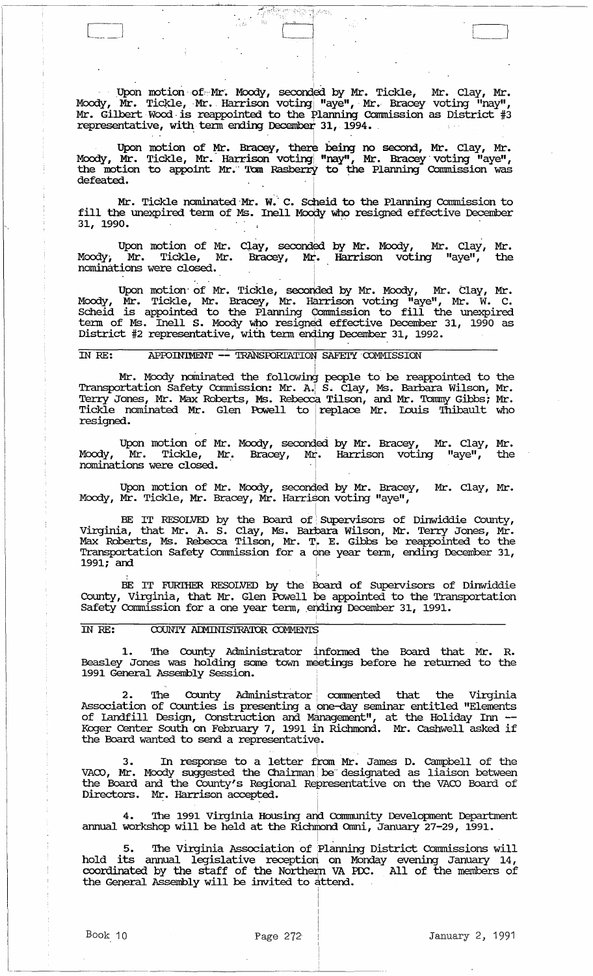Upon motion of Mr. Moody, seconded by Mr. Tickle, Mr. Clay, Mr.<br>Moody, Mr. Tickle, Mr. Harrison voting "aye", Mr. Bracey voting "nay",<br>Mr. Gilbert Wood is reappointed to the Planning Commission as District #3 representative, with term ending December 31, 1994.

Upon motion of Mr. Bracey, there being no second, Mr. Clay, Mr.<br>Moody, Mr. Tickle, Mr. Harrison voting "nay", Mr. Bracey voting "aye", the motion to appoint Mr. Tom Rasberry to the Planning Commission was defeated.

Mr. Tickle nominated Mr. W. C. Scheid to the Planning Commission to<br>fill the unexpired term of Ms. Inell Moody who resigned effective December 31, 1990.

Upon motion of Mr. Clay, seconded by Mr. Moody, M<br>Moody, Mr. Tickle, Mr. Bracey, Mr. Harrison voting Mr. Clay, Mr.  $\mathbf{u}_{\text{aye}}$ the nominations were closed.

Upon motion of Mr. Tickle, seconded by Mr. Moody, Mr. Clay, Mr. Moody, Mr. Tickle, Mr. Bracey, Mr. Harrison voting "aye", Mr. W. C. Scheid is appointed to the Planning Commission to fill the unexpired term of Ms. Inell S.

#### APPOINTMENT -- TRANSPORTATION SAFETY COMMISSION IN RE:

Mr. Moody nominated the following people to be reappointed to the Transportation Safety Commission: Mr. A. S. Clay, Ms. Barbara Wilson, Mr. Terry Jones, Mr. Max Roberts, Ms. Rebecca Tilson, and Mr. Tommy Gibbs; Mr. Tickle resigned.

Upon motion of Mr. Moody, seconded by Mr. Bracey, Mr. Clay, Mr.<br>Moody, Mr. Tickle, Mr. Bracey, Mr. Harrison voting "aye", the the nominations were closed.

Upon motion of Mr. Moody, seconded by Mr. Bracey, Mr. Clay, Mr.<br>Moody, Mr. Tickle, Mr. Bracey, Mr. Harrison voting "aye",

BE IT RESOLVED by the Board of Supervisors of Dinwiddie County, Virginia, that Mr. A. S. Clay, Ms. Barbara Wilson, Mr. Terry Jones, Mr. Max Roberts, Ms. Rebecca Tilson, Mr. T. E. Gibbs be reappointed to the Transportation  $1991:$  and

BE IT FURTHER RESOLVED by the Board of Supervisors of Dinwiddie County, Virginia, that Mr. Glen Powell be appointed to the Transportation Safety Commission for a one year term, ending December 31, 1991.

#### **IN RE:** COUNTY ADMINISTRATOR COMMENTS

1. The County Administrator informed the Board that Mr. R. Beasley Jones was holding some town meetings before he returned to the 1991 General Assembly Session.

2. The County Administrator commented that the Virginia<br>Association of Counties is presenting a one-day seminar entitled "Elements<br>of Landfill Design, Construction and Management", at the Holiday Inn --<br>Koger Center South

3. In response to a letter from Mr. James D. Campbell of the VACO, Mr. Moody suggested the Chairman be designated as liaison between the Board and the County's Regional Representative on the VACO Board of Directors. Mr. Harrison accepted.

4. The 1991 Virginia Housing and Community Development Department<br>annual workshop will be held at the Richmond Omni, January 27-29, 1991.

The Virginia Association of Planning District Commissions will hold its annual legislative reception on Monday evening January 14, coordinated by the staff of the Northern VA PDC. All of the members of the General Assembly will be invited to attend.